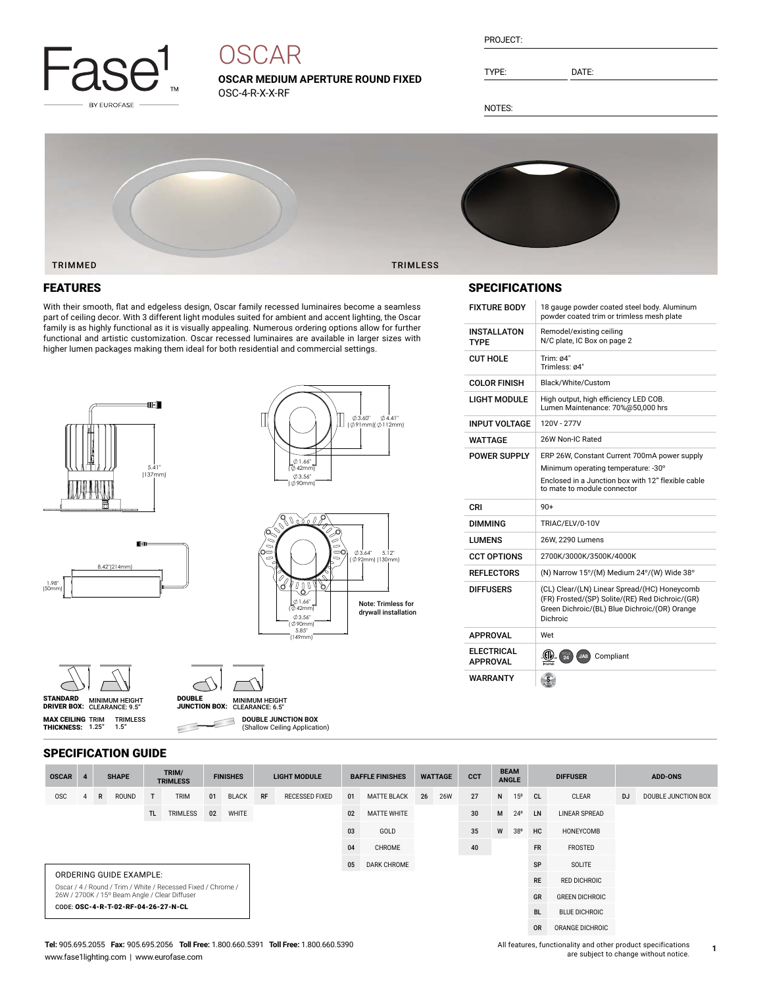

# **OSCAR**

**OSCAR MEDIUM APERTURE ROUND FIXED** OSC-4-R-X-X-RF

| PROJECT: |  |
|----------|--|
|          |  |

TYPE: DATE:

NOTES:



### FEATURES

With their smooth, flat and edgeless design, Oscar family recessed luminaires become a seamless part of ceiling decor. With 3 different light modules suited for ambient and accent lighting, the Oscar family is as highly functional as it is visually appealing. Numerous ordering options allow for further functional and artistic customization. Oscar recessed luminaires are available in larger sizes with higher lumen packages making them ideal for both residential and commercial settings.











**MAX CEILING** TRIM<br>**THICKNESS:** 1.25"



 $\subset$ 

DRIVER BOX: MINIMUM HEIGHT CLEARANCE: 6.5" DOUBLE JUNCTION BOX: **DOUBLE JUNCTION BOX** 3 (Shallow Ceiling Application)

## SPECIFICATIONS

| <b>FIXTURE BODY</b>                  | 18 gauge powder coated steel body. Aluminum<br>powder coated trim or trimless mesh plate                                                                                 |
|--------------------------------------|--------------------------------------------------------------------------------------------------------------------------------------------------------------------------|
| <b>INSTALLATON</b><br>TYPF           | Remodel/existing ceiling<br>N/C plate, IC Box on page 2                                                                                                                  |
| <b>CUT HOLE</b>                      | Trim: $64"$<br>Trimless: ø4"                                                                                                                                             |
| <b>COLOR FINISH</b>                  | Black/White/Custom                                                                                                                                                       |
| <b>LIGHT MODULE</b>                  | High output, high efficiency LED COB.<br>Lumen Maintenance: 70%@50,000 hrs                                                                                               |
| <b>INPUT VOLTAGE</b>                 | 120V - 277V                                                                                                                                                              |
| WATTAGE                              | 26W Non-IC Rated                                                                                                                                                         |
| <b>POWER SUPPLY</b>                  | ERP 26W, Constant Current 700mA power supply<br>Minimum operating temperature: -30°<br>Enclosed in a Junction box with 12" flexible cable<br>to mate to module connector |
| CRI                                  | $90+$                                                                                                                                                                    |
| DIMMING                              | TRIAC/ELV/0-10V                                                                                                                                                          |
|                                      |                                                                                                                                                                          |
| LUMENS                               | 26W, 2290 Lumens                                                                                                                                                         |
| <b>CCT OPTIONS</b>                   | 2700K/3000K/3500K/4000K                                                                                                                                                  |
| <b>REFLECTORS</b>                    | (N) Narrow 15°/(M) Medium 24°/(W) Wide 38°                                                                                                                               |
| <b>DIFFUSERS</b>                     | (CL) Clear/(LN) Linear Spread/(HC) Honeycomb<br>(FR) Frosted/(SP) Solite/(RE) Red Dichroic/(GR)<br>Green Dichroic/(BL) Blue Dichroic/(OR) Orange<br>Dichroic             |
| <b>APPROVAL</b>                      | Wet                                                                                                                                                                      |
| <b>ELECTRICAL</b><br><b>APPROVAL</b> | .CD<br>Compliant<br>JA8                                                                                                                                                  |

#### SPECIFICATION GUIDE

TRIMLESS 1.5"

| <b>OSCAR</b>                                                                                                  |                                     |   | <b>SHAPE</b> |     | TRIM/<br><b>TRIMLESS</b> |    | <b>FINISHES</b> |                    | <b>LIGHT MODULE</b> |    | <b>BAFFLE FINISHES</b> |    | <b>WATTAGE</b> | <b>CCT</b>            |                     | <b>BEAM</b><br><b>ANGLE</b> |               | <b>DIFFUSER</b> |           | <b>ADD-ONS</b>      |  |
|---------------------------------------------------------------------------------------------------------------|-------------------------------------|---|--------------|-----|--------------------------|----|-----------------|--------------------|---------------------|----|------------------------|----|----------------|-----------------------|---------------------|-----------------------------|---------------|-----------------|-----------|---------------------|--|
| <b>OSC</b>                                                                                                    |                                     | R | <b>ROUND</b> | T   | <b>TRIM</b>              | 01 | <b>BLACK</b>    | RF                 | RECESSED FIXED      | 01 | <b>MATTE BLACK</b>     | 26 | <b>26W</b>     | 27                    | N                   | 15 <sup>o</sup>             | <sub>CL</sub> | CLEAR           | <b>DJ</b> | DOUBLE JUNCTION BOX |  |
|                                                                                                               |                                     |   |              | TL. | <b>TRIMLESS</b>          | 02 | <b>WHITE</b>    |                    |                     | 02 | <b>MATTE WHITE</b>     |    |                | 30                    | M                   | $24^{\circ}$                | LN            | LINEAR SPREAD   |           |                     |  |
|                                                                                                               |                                     |   |              |     |                          |    |                 |                    |                     | 03 | GOLD                   |    |                | 35                    | W                   | 38°                         | HC            | HONEYCOMB       |           |                     |  |
|                                                                                                               |                                     |   |              |     |                          | 04 | CHROME          |                    |                     | 40 |                        |    | <b>FR</b>      | FROSTED               |                     |                             |               |                 |           |                     |  |
|                                                                                                               |                                     |   |              |     |                          |    | 05              | <b>DARK CHROME</b> |                     |    |                        |    | <b>SP</b>      | SOLITE                |                     |                             |               |                 |           |                     |  |
|                                                                                                               | ORDERING GUIDE EXAMPLE:             |   |              |     |                          |    |                 |                    |                     |    |                        |    |                | <b>RE</b>             | <b>RED DICHROIC</b> |                             |               |                 |           |                     |  |
| Oscar / 4 / Round / Trim / White / Recessed Fixed / Chrome /<br>26W / 2700K / 15° Beam Angle / Clear Diffuser |                                     |   |              |     |                          |    |                 |                    |                     |    |                        |    | <b>GR</b>      | <b>GREEN DICHROIC</b> |                     |                             |               |                 |           |                     |  |
|                                                                                                               | CODE: OSC-4-R-T-02-RF-04-26-27-N-CL |   |              |     |                          |    |                 |                    |                     |    |                        |    | <b>BL</b>      | <b>BLUE DICHROIC</b>  |                     |                             |               |                 |           |                     |  |
|                                                                                                               |                                     |   |              |     |                          |    |                 |                    |                     |    |                        |    |                | <b>OR</b>             | ORANGE DICHROIC     |                             |               |                 |           |                     |  |

#### **Tel:** 905.695.2055 **Fax:** 905.695.2056 **Toll Free:** 1.800.660.5391 **Toll Free:** 1.800.660.5390 www.fase1lighting.com | www.eurofase.com

All features, functionality and other product specifications are subject to change without notice.

**1**